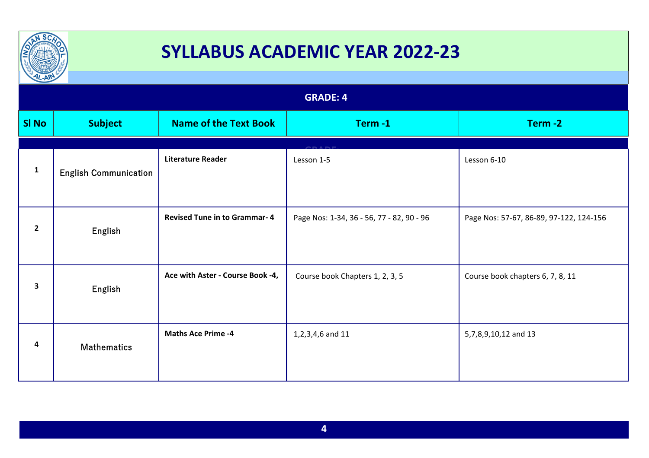

| $\frac{1}{2}$<br><b>GRADE: 4</b> |                              |                                     |                                           |                                         |
|----------------------------------|------------------------------|-------------------------------------|-------------------------------------------|-----------------------------------------|
| <b>SI No</b>                     | <b>Subject</b>               | <b>Name of the Text Book</b>        | Term-1                                    | Term-2                                  |
| $\mathbf{1}$                     | <b>English Communication</b> | <b>Literature Reader</b>            | Lesson 1-5                                | Lesson 6-10                             |
| $\overline{2}$                   | English                      | <b>Revised Tune in to Grammar-4</b> | Page Nos: 1-34, 36 - 56, 77 - 82, 90 - 96 | Page Nos: 57-67, 86-89, 97-122, 124-156 |
| 3                                | English                      | Ace with Aster - Course Book -4,    | Course book Chapters 1, 2, 3, 5           | Course book chapters 6, 7, 8, 11        |
| 4                                | <b>Mathematics</b>           | <b>Maths Ace Prime -4</b>           | 1,2,3,4,6 and 11                          | 5,7,8,9,10,12 and 13                    |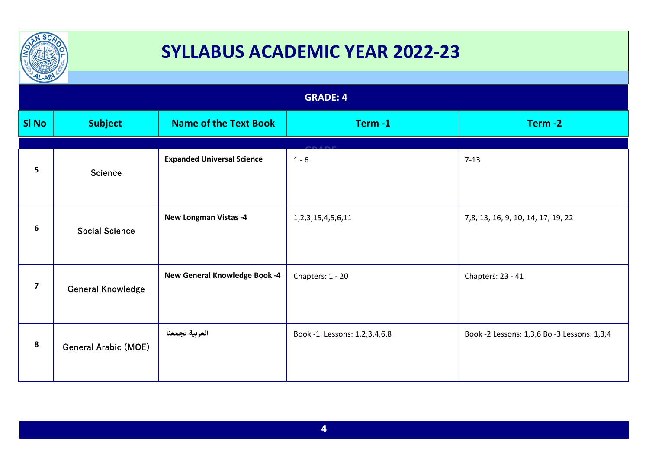

| $\frac{1}{2}$           |                             |                                   |                              |                                             |
|-------------------------|-----------------------------|-----------------------------------|------------------------------|---------------------------------------------|
|                         | <b>GRADE: 4</b>             |                                   |                              |                                             |
| <b>SI No</b>            | <b>Subject</b>              | <b>Name of the Text Book</b>      | Term-1                       | Term-2                                      |
|                         |                             |                                   |                              |                                             |
| 5                       | <b>Science</b>              | <b>Expanded Universal Science</b> | $1 - 6$                      | $7 - 13$                                    |
| 6                       | <b>Social Science</b>       | <b>New Longman Vistas -4</b>      | 1, 2, 3, 15, 4, 5, 6, 11     | 7, 8, 13, 16, 9, 10, 14, 17, 19, 22         |
| $\overline{\mathbf{z}}$ | <b>General Knowledge</b>    | New General Knowledge Book -4     | Chapters: 1 - 20             | Chapters: 23 - 41                           |
| 8                       | <b>General Arabic (MOE)</b> | العربية تجمعنا                    | Book -1 Lessons: 1,2,3,4,6,8 | Book -2 Lessons: 1,3,6 Bo -3 Lessons: 1,3,4 |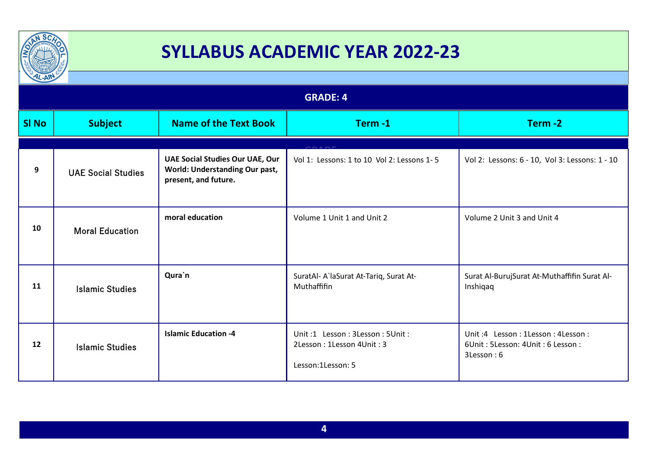

| $\mu$ -All      |                           |                                                                                                  |                                                                                  |                                                                                     |
|-----------------|---------------------------|--------------------------------------------------------------------------------------------------|----------------------------------------------------------------------------------|-------------------------------------------------------------------------------------|
| <b>GRADE: 4</b> |                           |                                                                                                  |                                                                                  |                                                                                     |
| <b>SI No</b>    | <b>Subject</b>            | <b>Name of the Text Book</b>                                                                     | Term-1                                                                           | Term-2                                                                              |
|                 |                           |                                                                                                  |                                                                                  |                                                                                     |
| 9               | <b>UAE Social Studies</b> | <b>UAE Social Studies Our UAE, Our</b><br>World: Understanding Our past,<br>present, and future. | Vol 1: Lessons: 1 to 10 Vol 2: Lessons 1-5                                       | Vol 2: Lessons: 6 - 10, Vol 3: Lessons: 1 - 10                                      |
| 10              | <b>Moral Education</b>    | moral education                                                                                  | Volume 1 Unit 1 and Unit 2                                                       | Volume 2 Unit 3 and Unit 4                                                          |
| 11              | <b>Islamic Studies</b>    | Qura`n                                                                                           | SuratAl- A`laSurat At-Tariq, Surat At-<br>Muthaffifin                            | Surat Al-BurujSurat At-Muthaffifin Surat Al-<br>Inshiqaq                            |
| 12              | <b>Islamic Studies</b>    | <b>Islamic Education -4</b>                                                                      | Unit:1 Lesson: 3Lesson: 5Unit:<br>2Lesson: 1Lesson 4Unit: 3<br>Lesson:1Lesson: 5 | Unit: 4 Lesson: 1Lesson: 4Lesson:<br>6Unit: 5Lesson: 4Unit: 6 Lesson:<br>3Lesson: 6 |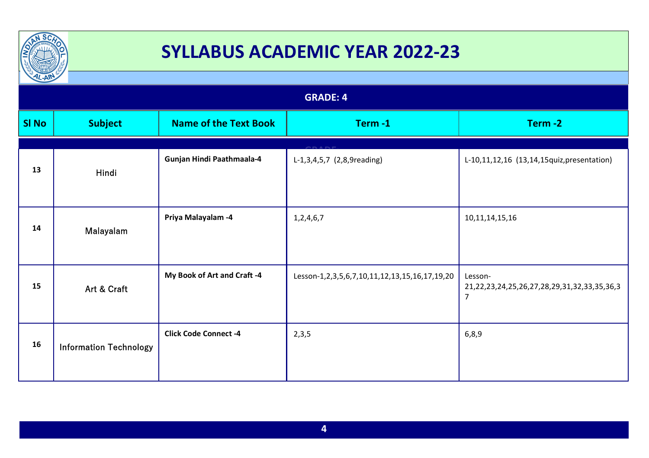

| $12 - A$        |                               |                              |                                               |                                                                                        |
|-----------------|-------------------------------|------------------------------|-----------------------------------------------|----------------------------------------------------------------------------------------|
| <b>GRADE: 4</b> |                               |                              |                                               |                                                                                        |
| <b>SI No</b>    | <b>Subject</b>                | <b>Name of the Text Book</b> | Term-1                                        | Term-2                                                                                 |
|                 |                               |                              |                                               |                                                                                        |
| 13              | Hindi                         | Gunjan Hindi Paathmaala-4    | L-1,3,4,5,7 (2,8,9reading)                    | L-10,11,12,16 (13,14,15quiz,presentation)                                              |
| 14              | Malayalam                     | Priya Malayalam - 4          | 1,2,4,6,7                                     | 10, 11, 14, 15, 16                                                                     |
| 15              | Art & Craft                   | My Book of Art and Craft -4  | Lesson-1,2,3,5,6,7,10,11,12,13,15,16,17,19,20 | Lesson-<br>21, 22, 23, 24, 25, 26, 27, 28, 29, 31, 32, 33, 35, 36, 3<br>$\overline{7}$ |
| 16              | <b>Information Technology</b> | <b>Click Code Connect -4</b> | 2,3,5                                         | 6, 8, 9                                                                                |